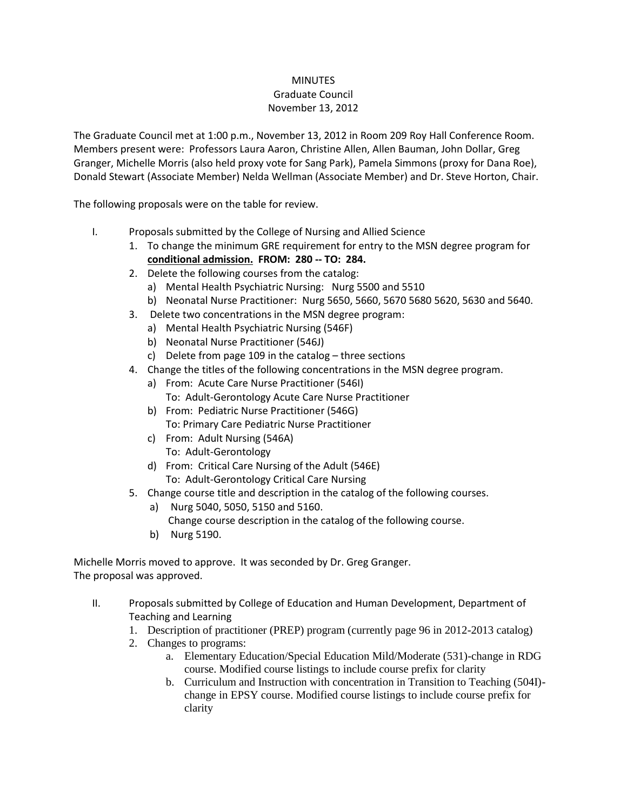## **MINUTES** Graduate Council November 13, 2012

The Graduate Council met at 1:00 p.m., November 13, 2012 in Room 209 Roy Hall Conference Room. Members present were: Professors Laura Aaron, Christine Allen, Allen Bauman, John Dollar, Greg Granger, Michelle Morris (also held proxy vote for Sang Park), Pamela Simmons (proxy for Dana Roe), Donald Stewart (Associate Member) Nelda Wellman (Associate Member) and Dr. Steve Horton, Chair.

The following proposals were on the table for review.

- I. Proposals submitted by the College of Nursing and Allied Science
	- 1. To change the minimum GRE requirement for entry to the MSN degree program for **conditional admission. FROM: 280 -- TO: 284.**
	- 2. Delete the following courses from the catalog:
		- a) Mental Health Psychiatric Nursing: Nurg 5500 and 5510
		- b) Neonatal Nurse Practitioner: Nurg 5650, 5660, 5670 5680 5620, 5630 and 5640.
	- 3. Delete two concentrations in the MSN degree program:
		- a) Mental Health Psychiatric Nursing (546F)
		- b) Neonatal Nurse Practitioner (546J)
		- c) Delete from page 109 in the catalog three sections
	- 4. Change the titles of the following concentrations in the MSN degree program.
		- a) From: Acute Care Nurse Practitioner (546I) To: Adult-Gerontology Acute Care Nurse Practitioner
			- b) From: Pediatric Nurse Practitioner (546G) To: Primary Care Pediatric Nurse Practitioner
			- c) From: Adult Nursing (546A)
				- To: Adult-Gerontology
			- d) From: Critical Care Nursing of the Adult (546E) To: Adult-Gerontology Critical Care Nursing
	- 5. Change course title and description in the catalog of the following courses.
		- a) Nurg 5040, 5050, 5150 and 5160.
		- Change course description in the catalog of the following course.
		- b) Nurg 5190.

Michelle Morris moved to approve. It was seconded by Dr. Greg Granger. The proposal was approved.

- II. Proposals submitted by College of Education and Human Development, Department of Teaching and Learning
	- 1. Description of practitioner (PREP) program (currently page 96 in 2012-2013 catalog)
	- 2. Changes to programs:
		- a. Elementary Education/Special Education Mild/Moderate (531)-change in RDG course. Modified course listings to include course prefix for clarity
		- b. Curriculum and Instruction with concentration in Transition to Teaching (504I) change in EPSY course. Modified course listings to include course prefix for clarity